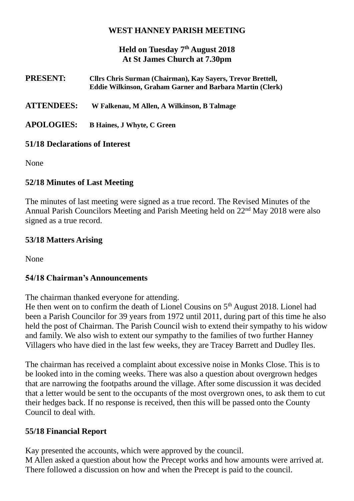#### **WEST HANNEY PARISH MEETING**

## **Held on Tuesday 7th August 2018 At St James Church at 7.30pm**

| <b>PRESENT:</b>   | Cllrs Chris Surman (Chairman), Kay Sayers, Trevor Brettell,<br><b>Eddie Wilkinson, Graham Garner and Barbara Martin (Clerk)</b> |
|-------------------|---------------------------------------------------------------------------------------------------------------------------------|
| <b>ATTENDEES:</b> | W Falkenau, M Allen, A Wilkinson, B Talmage                                                                                     |
| <b>APOLOGIES:</b> | <b>B Haines, J Whyte, C Green</b>                                                                                               |

#### **51/18 Declarations of Interest**

None

## **52/18 Minutes of Last Meeting**

The minutes of last meeting were signed as a true record. The Revised Minutes of the Annual Parish Councilors Meeting and Parish Meeting held on 22nd May 2018 were also signed as a true record.

#### **53/18 Matters Arising**

None

#### **54/18 Chairman's Announcements**

The chairman thanked everyone for attending.

He then went on to confirm the death of Lionel Cousins on 5<sup>th</sup> August 2018. Lionel had been a Parish Councilor for 39 years from 1972 until 2011, during part of this time he also held the post of Chairman. The Parish Council wish to extend their sympathy to his widow and family. We also wish to extent our sympathy to the families of two further Hanney Villagers who have died in the last few weeks, they are Tracey Barrett and Dudley Iles.

The chairman has received a complaint about excessive noise in Monks Close. This is to be looked into in the coming weeks. There was also a question about overgrown hedges that are narrowing the footpaths around the village. After some discussion it was decided that a letter would be sent to the occupants of the most overgrown ones, to ask them to cut their hedges back. If no response is received, then this will be passed onto the County Council to deal with.

#### **55/18 Financial Report**

Kay presented the accounts, which were approved by the council. M Allen asked a question about how the Precept works and how amounts were arrived at. There followed a discussion on how and when the Precept is paid to the council.